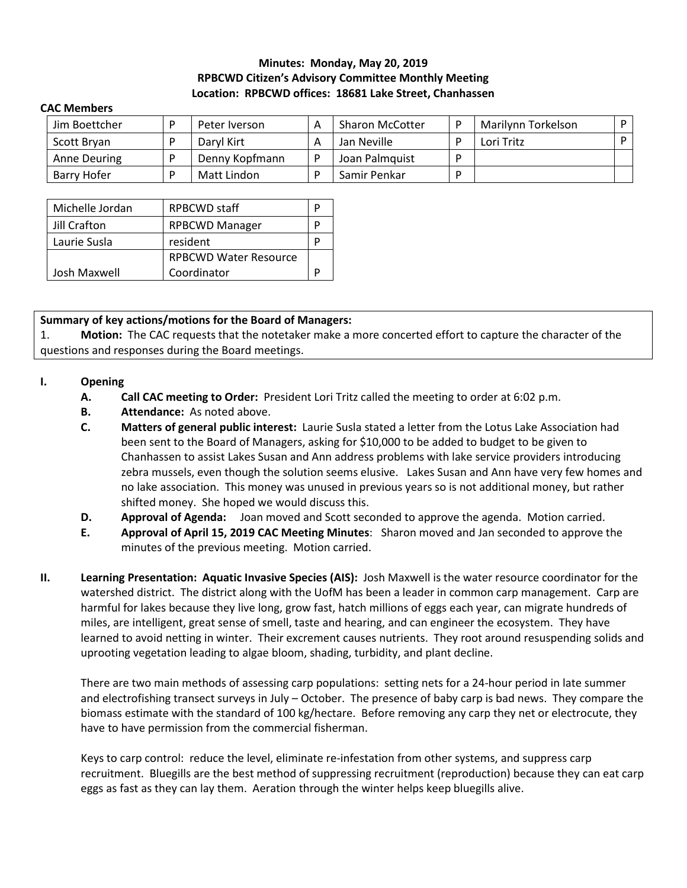## **Minutes: Monday, May 20, 2019 RPBCWD Citizen's Advisory Committee Monthly Meeting Location: RPBCWD offices: 18681 Lake Street, Chanhassen**

#### **CAC Members**

| Jim Boettcher       | Peter Iverson  | <b>Sharon McCotter</b> | Marilynn Torkelson |  |
|---------------------|----------------|------------------------|--------------------|--|
| Scott Brvan         | Daryl Kirt     | Jan Neville            | Lori Tritz         |  |
| <b>Anne Deuring</b> | Denny Kopfmann | Joan Palmquist         |                    |  |
| Barry Hofer         | Matt Lindon    | Samir Penkar           |                    |  |

| Michelle Jordan | <b>RPBCWD staff</b>          |  |
|-----------------|------------------------------|--|
| Jill Crafton    | <b>RPBCWD Manager</b>        |  |
| Laurie Susla    | resident                     |  |
|                 | <b>RPBCWD Water Resource</b> |  |
| Josh Maxwell    | Coordinator                  |  |

### **Summary of key actions/motions for the Board of Managers:**

1. **Motion:** The CAC requests that the notetaker make a more concerted effort to capture the character of the questions and responses during the Board meetings.

### **I. Opening**

- **A. Call CAC meeting to Order:** President Lori Tritz called the meeting to order at 6:02 p.m.
- **B. Attendance:** As noted above.
- **C. Matters of general public interest:** Laurie Susla stated a letter from the Lotus Lake Association had been sent to the Board of Managers, asking for \$10,000 to be added to budget to be given to Chanhassen to assist Lakes Susan and Ann address problems with lake service providers introducing zebra mussels, even though the solution seems elusive. Lakes Susan and Ann have very few homes and no lake association. This money was unused in previous years so is not additional money, but rather shifted money. She hoped we would discuss this.
- **D. Approval of Agenda:** Joan moved and Scott seconded to approve the agenda. Motion carried.
- **E. Approval of April 15, 2019 CAC Meeting Minutes**: Sharon moved and Jan seconded to approve the minutes of the previous meeting. Motion carried.
- **II. Learning Presentation: Aquatic Invasive Species (AIS):** Josh Maxwell is the water resource coordinator for the watershed district. The district along with the UofM has been a leader in common carp management. Carp are harmful for lakes because they live long, grow fast, hatch millions of eggs each year, can migrate hundreds of miles, are intelligent, great sense of smell, taste and hearing, and can engineer the ecosystem. They have learned to avoid netting in winter. Their excrement causes nutrients. They root around resuspending solids and uprooting vegetation leading to algae bloom, shading, turbidity, and plant decline.

There are two main methods of assessing carp populations: setting nets for a 24-hour period in late summer and electrofishing transect surveys in July – October. The presence of baby carp is bad news. They compare the biomass estimate with the standard of 100 kg/hectare. Before removing any carp they net or electrocute, they have to have permission from the commercial fisherman.

Keys to carp control: reduce the level, eliminate re-infestation from other systems, and suppress carp recruitment. Bluegills are the best method of suppressing recruitment (reproduction) because they can eat carp eggs as fast as they can lay them. Aeration through the winter helps keep bluegills alive.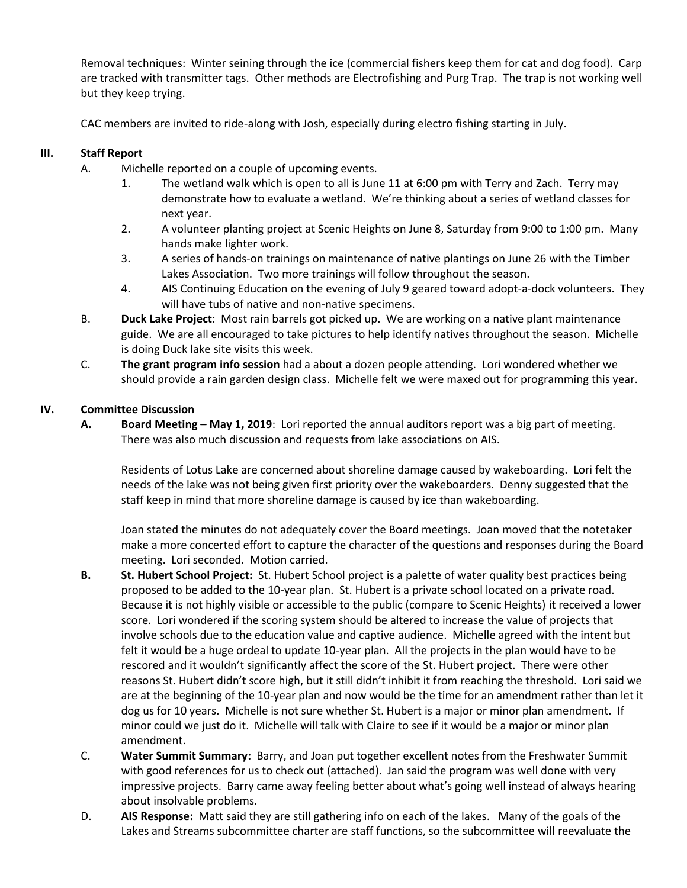Removal techniques: Winter seining through the ice (commercial fishers keep them for cat and dog food). Carp are tracked with transmitter tags. Other methods are Electrofishing and Purg Trap. The trap is not working well but they keep trying.

CAC members are invited to ride-along with Josh, especially during electro fishing starting in July.

# **III. Staff Report**

- A. Michelle reported on a couple of upcoming events.
	- 1. The wetland walk which is open to all is June 11 at 6:00 pm with Terry and Zach. Terry may demonstrate how to evaluate a wetland. We're thinking about a series of wetland classes for next year.
	- 2. A volunteer planting project at Scenic Heights on June 8, Saturday from 9:00 to 1:00 pm. Many hands make lighter work.
	- 3. A series of hands-on trainings on maintenance of native plantings on June 26 with the Timber Lakes Association. Two more trainings will follow throughout the season.
	- 4. AIS Continuing Education on the evening of July 9 geared toward adopt-a-dock volunteers. They will have tubs of native and non-native specimens.
- B. **Duck Lake Project**: Most rain barrels got picked up. We are working on a native plant maintenance guide. We are all encouraged to take pictures to help identify natives throughout the season. Michelle is doing Duck lake site visits this week.
- C. **The grant program info session** had a about a dozen people attending. Lori wondered whether we should provide a rain garden design class. Michelle felt we were maxed out for programming this year.

## **IV. Committee Discussion**

**A. Board Meeting – May 1, 2019**: Lori reported the annual auditors report was a big part of meeting. There was also much discussion and requests from lake associations on AIS.

Residents of Lotus Lake are concerned about shoreline damage caused by wakeboarding. Lori felt the needs of the lake was not being given first priority over the wakeboarders. Denny suggested that the staff keep in mind that more shoreline damage is caused by ice than wakeboarding.

Joan stated the minutes do not adequately cover the Board meetings. Joan moved that the notetaker make a more concerted effort to capture the character of the questions and responses during the Board meeting. Lori seconded. Motion carried.

- **B. St. Hubert School Project:** St. Hubert School project is a palette of water quality best practices being proposed to be added to the 10-year plan. St. Hubert is a private school located on a private road. Because it is not highly visible or accessible to the public (compare to Scenic Heights) it received a lower score. Lori wondered if the scoring system should be altered to increase the value of projects that involve schools due to the education value and captive audience. Michelle agreed with the intent but felt it would be a huge ordeal to update 10-year plan. All the projects in the plan would have to be rescored and it wouldn't significantly affect the score of the St. Hubert project. There were other reasons St. Hubert didn't score high, but it still didn't inhibit it from reaching the threshold. Lori said we are at the beginning of the 10-year plan and now would be the time for an amendment rather than let it dog us for 10 years. Michelle is not sure whether St. Hubert is a major or minor plan amendment. If minor could we just do it. Michelle will talk with Claire to see if it would be a major or minor plan amendment.
- C. **Water Summit Summary:** Barry, and Joan put together excellent notes from the Freshwater Summit with good references for us to check out (attached). Jan said the program was well done with very impressive projects. Barry came away feeling better about what's going well instead of always hearing about insolvable problems.
- D. **AIS Response:** Matt said they are still gathering info on each of the lakes. Many of the goals of the Lakes and Streams subcommittee charter are staff functions, so the subcommittee will reevaluate the